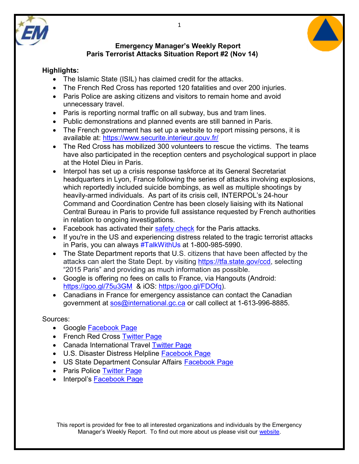



## **Highlights:**

- The Islamic State (ISIL) has claimed credit for the attacks.
- The French Red Cross has reported 120 fatalities and over 200 injuries.
- Paris Police are asking citizens and visitors to remain home and avoid unnecessary travel.
- Paris is reporting normal traffic on all subway, bus and tram lines.
- Public demonstrations and planned events are still banned in Paris.
- The French government has set up a website to report missing persons, it is available at:<https://www.securite.interieur.gouv.fr/>
- The Red Cross has mobilized 300 volunteers to rescue the victims. The teams have also participated in the reception centers and psychological support in place at the Hotel Dieu in Paris.
- Interpol has set up a crisis response taskforce at its General Secretariat headquarters in Lyon, France following the series of attacks involving explosions, which reportedly included suicide bombings, as well as multiple shootings by heavily-armed individuals. As part of its crisis cell, INTERPOL's 24-hour Command and Coordination Centre has been closely liaising with its National Central Bureau in Paris to provide full assistance requested by French authorities in relation to ongoing investigations.
- Facebook has activated their [safety check](https://www.facebook.com/safetycheck/paris_terror_attacks/) for the Paris attacks.
- If you're in the US and experiencing distress related to the tragic terrorist attacks in Paris, you can always [#TalkWithUs](https://www.facebook.com/hashtag/talkwithus?source=feed_text&story_id=979860328737628) at 1-800-985-5990.
- The State Department reports that U.S. citizens that have been affected by the attacks can alert the State Dept. by visiting [https://tfa.state.gov/ccd,](https://tfa.state.gov/ccd) selecting "2015 Paris" and providing as much information as possible.
- Google is offering no fees on calls to France, via Hangouts (Android: <https://goo.gl/75u3GM>& iOS: [https://goo.gl/FDOfq\)](https://goo.gl/FDOfq).
- Canadians in France for emergency assistance can contact the Canadian government at [sos@international.gc.ca](mailto:sos@international.gc.ca) or call collect at 1-613-996-8885.

## Sources:

- Google **Facebook Page**
- French Red Cross [Twitter Page](https://twitter.com/CroixRouge)
- Canada International Travel [Twitter Page](https://twitter.com/TravelGoC?ref_src=twsrc%5Etfw)
- U.S. Disaster Distress Helpline [Facebook Page](https://www.facebook.com/distresshelpline/timeline)
- US State Department Consular Affairs [Facebook Page](https://www.facebook.com/travelgov/?fref=ts)
- Paris Police [Twitter Page](https://twitter.com/prefpolice)
- Interpol's [Facebook Page](https://www.facebook.com/InterpolHQ/?fref=ts)

This report is provided for free to all interested organizations and individuals by the Emergency Manager's Weekly Report. To find out more about us please visit our [website.](https://sites.google.com/site/emergencymanagersweeklyreport/home)

1